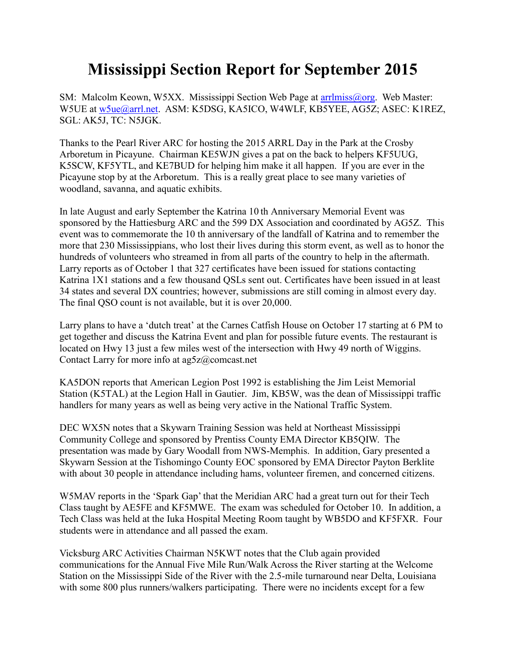## **Mississippi Section Report for September 2015**

SM: Malcolm Keown, W5XX. Mississippi Section Web Page at [arrlmiss@org.](mailto:arrlmiss@org) Web Master: W5UE at [w5ue@arrl.net.](mailto:w5ue@arrl.net) ASM: K5DSG, KA5ICO, W4WLF, KB5YEE, AG5Z; ASEC: K1REZ, SGL: AK5J, TC: N5JGK.

Thanks to the Pearl River ARC for hosting the 2015 ARRL Day in the Park at the Crosby Arboretum in Picayune. Chairman KE5WJN gives a pat on the back to helpers KF5UUG, K5SCW, KF5YTL, and KE7BUD for helping him make it all happen. If you are ever in the Picayune stop by at the Arboretum. This is a really great place to see many varieties of woodland, savanna, and aquatic exhibits.

In late August and early September the Katrina 10 th Anniversary Memorial Event was sponsored by the Hattiesburg ARC and the 599 DX Association and coordinated by AG5Z. This event was to commemorate the 10 th anniversary of the landfall of Katrina and to remember the more that 230 Mississippians, who lost their lives during this storm event, as well as to honor the hundreds of volunteers who streamed in from all parts of the country to help in the aftermath. Larry reports as of October 1 that 327 certificates have been issued for stations contacting Katrina 1X1 stations and a few thousand QSLs sent out. Certificates have been issued in at least 34 states and several DX countries; however, submissions are still coming in almost every day. The final QSO count is not available, but it is over 20,000.

Larry plans to have a 'dutch treat' at the Carnes Catfish House on October 17 starting at 6 PM to get together and discuss the Katrina Event and plan for possible future events. The restaurant is located on Hwy 13 just a few miles west of the intersection with Hwy 49 north of Wiggins. Contact Larry for more info at ag5z@comcast.net

KA5DON reports that American Legion Post 1992 is establishing the Jim Leist Memorial Station (K5TAL) at the Legion Hall in Gautier. Jim, KB5W, was the dean of Mississippi traffic handlers for many years as well as being very active in the National Traffic System.

DEC WX5N notes that a Skywarn Training Session was held at Northeast Mississippi Community College and sponsored by Prentiss County EMA Director KB5QIW. The presentation was made by Gary Woodall from NWS-Memphis. In addition, Gary presented a Skywarn Session at the Tishomingo County EOC sponsored by EMA Director Payton Berklite with about 30 people in attendance including hams, volunteer firemen, and concerned citizens.

W5MAV reports in the 'Spark Gap' that the Meridian ARC had a great turn out for their Tech Class taught by AE5FE and KF5MWE. The exam was scheduled for October 10. In addition, a Tech Class was held at the Iuka Hospital Meeting Room taught by WB5DO and KF5FXR. Four students were in attendance and all passed the exam.

Vicksburg ARC Activities Chairman N5KWT notes that the Club again provided communications for the Annual Five Mile Run/Walk Across the River starting at the Welcome Station on the Mississippi Side of the River with the 2.5-mile turnaround near Delta, Louisiana with some 800 plus runners/walkers participating. There were no incidents except for a few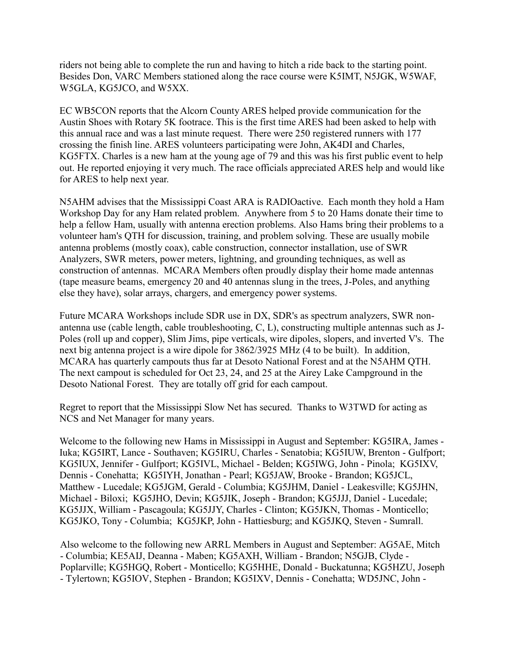riders not being able to complete the run and having to hitch a ride back to the starting point. Besides Don, VARC Members stationed along the race course were K5IMT, N5JGK, W5WAF, W5GLA, KG5JCO, and W5XX.

EC WB5CON reports that the Alcorn County ARES helped provide communication for the Austin Shoes with Rotary 5K footrace. This is the first time ARES had been asked to help with this annual race and was a last minute request. There were 250 registered runners with 177 crossing the finish line. ARES volunteers participating were John, AK4DI and Charles, KG5FTX. Charles is a new ham at the young age of 79 and this was his first public event to help out. He reported enjoying it very much. The race officials appreciated ARES help and would like for ARES to help next year.

N5AHM advises that the Mississippi Coast ARA is RADIOactive. Each month they hold a Ham Workshop Day for any Ham related problem. Anywhere from 5 to 20 Hams donate their time to help a fellow Ham, usually with antenna erection problems. Also Hams bring their problems to a volunteer ham's QTH for discussion, training, and problem solving. These are usually mobile antenna problems (mostly coax), cable construction, connector installation, use of SWR Analyzers, SWR meters, power meters, lightning, and grounding techniques, as well as construction of antennas. MCARA Members often proudly display their home made antennas (tape measure beams, emergency 20 and 40 antennas slung in the trees, J-Poles, and anything else they have), solar arrays, chargers, and emergency power systems.

Future MCARA Workshops include SDR use in DX, SDR's as spectrum analyzers, SWR nonantenna use (cable length, cable troubleshooting, C, L), constructing multiple antennas such as J-Poles (roll up and copper), Slim Jims, pipe verticals, wire dipoles, slopers, and inverted V's. The next big antenna project is a wire dipole for 3862/3925 MHz (4 to be built). In addition, MCARA has quarterly campouts thus far at Desoto National Forest and at the N5AHM QTH. The next campout is scheduled for Oct 23, 24, and 25 at the Airey Lake Campground in the Desoto National Forest. They are totally off grid for each campout.

Regret to report that the Mississippi Slow Net has secured. Thanks to W3TWD for acting as NCS and Net Manager for many years.

Welcome to the following new Hams in Mississippi in August and September: KG5IRA, James - Iuka; KG5IRT, Lance - Southaven; KG5IRU, Charles - Senatobia; KG5IUW, Brenton - Gulfport; KG5IUX, Jennifer - Gulfport; KG5IVL, Michael - Belden; KG5IWG, John - Pinola; KG5IXV, Dennis - Conehatta; KG5IYH, Jonathan - Pearl; KG5JAW, Brooke - Brandon; KG5JCL, Matthew - Lucedale; KG5JGM, Gerald - Columbia; KG5JHM, Daniel - Leakesville; KG5JHN, Michael - Biloxi; KG5JHO, Devin; KG5JIK, Joseph - Brandon; KG5JJJ, Daniel - Lucedale; KG5JJX, William - Pascagoula; KG5JJY, Charles - Clinton; KG5JKN, Thomas - Monticello; KG5JKO, Tony - Columbia; KG5JKP, John - Hattiesburg; and KG5JKQ, Steven - Sumrall.

Also welcome to the following new ARRL Members in August and September: AG5AE, Mitch - Columbia; KE5AIJ, Deanna - Maben; KG5AXH, William - Brandon; N5GJB, Clyde - Poplarville; KG5HGQ, Robert - Monticello; KG5HHE, Donald - Buckatunna; KG5HZU, Joseph - Tylertown; KG5IOV, Stephen - Brandon; KG5IXV, Dennis - Conehatta; WD5JNC, John -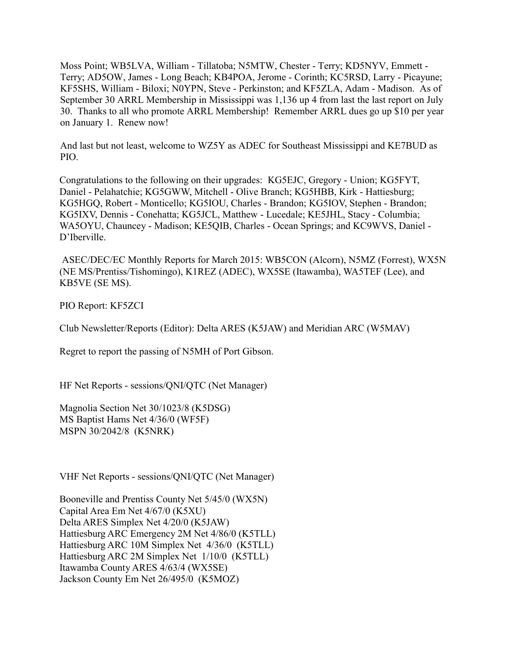Moss Point; WB5LVA, William - Tillatoba; N5MTW, Chester - Terry; KD5NYV, Emmett - Terry; AD5OW, James - Long Beach; KB4POA, Jerome - Corinth; KC5RSD, Larry - Picayune; KF5SHS, William - Biloxi; N0YPN, Steve - Perkinston; and KF5ZLA, Adam - Madison. As of September 30 ARRL Membership in Mississippi was 1,136 up 4 from last the last report on July 30. Thanks to all who promote ARRL Membership! Remember ARRL dues go up \$10 per year on January 1. Renew now!

And last but not least, welcome to WZ5Y as ADEC for Southeast Mississippi and KE7BUD as PIO.

Congratulations to the following on their upgrades: KG5EJC, Gregory - Union; KG5FYT, Daniel - Pelahatchie; KG5GWW, Mitchell - Olive Branch; KG5HBB, Kirk - Hattiesburg; KG5HGQ, Robert - Monticello; KG5IOU, Charles - Brandon; KG5IOV, Stephen - Brandon; KG5IXV, Dennis - Conehatta; KG5JCL, Matthew - Lucedale; KE5JHL, Stacy - Columbia; WA5OYU, Chauncey - Madison; KE5QIB, Charles - Ocean Springs; and KC9WVS, Daniel - D'Iberville.

ASEC/DEC/EC Monthly Reports for March 2015: WB5CON (Alcorn), N5MZ (Forrest), WX5N (NE MS/Prentiss/Tishomingo), K1REZ (ADEC), WX5SE (Itawamba), WA5TEF (Lee), and KB5VE (SE MS).

PIO Report: KF5ZCI

Club Newsletter/Reports (Editor): Delta ARES (K5JAW) and Meridian ARC (W5MAV)

Regret to report the passing of N5MH of Port Gibson.

HF Net Reports - sessions/QNI/QTC (Net Manager)

Magnolia Section Net 30/1023/8 (K5DSG) MS Baptist Hams Net 4/36/0 (WF5F) MSPN 30/2042/8 (K5NRK)

VHF Net Reports - sessions/QNI/QTC (Net Manager)

Booneville and Prentiss County Net 5/45/0 (WX5N) Capital Area Em Net 4/67/0 (K5XU) Delta ARES Simplex Net 4/20/0 (K5JAW) Hattiesburg ARC Emergency 2M Net 4/86/0 (K5TLL) Hattiesburg ARC 10M Simplex Net 4/36/0 (K5TLL) Hattiesburg ARC 2M Simplex Net 1/10/0 (K5TLL) Itawamba County ARES 4/63/4 (WX5SE) Jackson County Em Net 26/495/0 (K5MOZ)